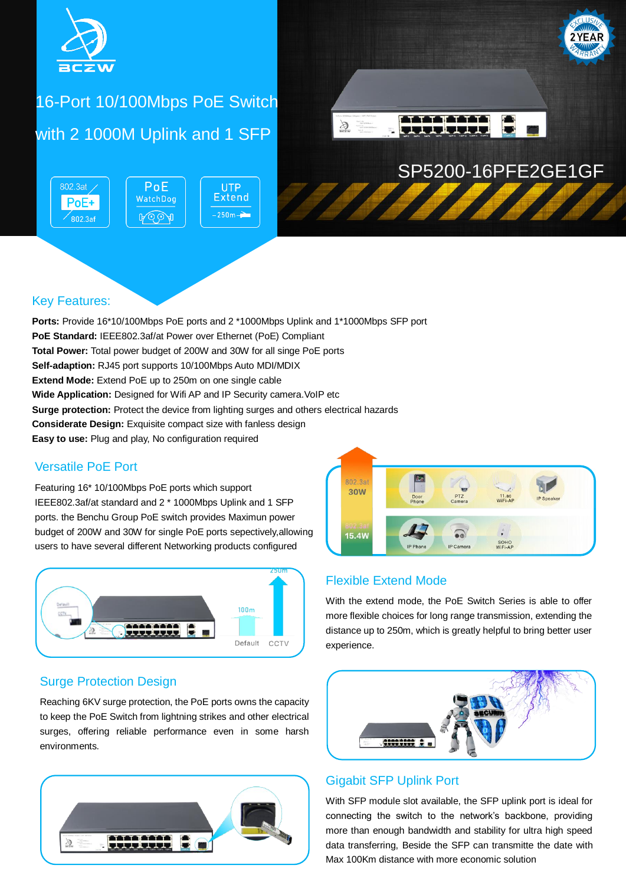

# 16-Port 10/100Mbps PoE Switch with 2 1000M Uplink and 1 SFP

802.3at  $PoE$ **Extend** WatchDog PoE+  $-250m A \odot \odot A$  $\sqrt{802.3}$ af



# SP5200-16PFE2GE1GF

#### Key Features:

**Ports:** Provide 16\*10/100Mbps PoE ports and 2 \*1000Mbps Uplink and 1\*1000Mbps SFP port **PoE Standard:** IEEE802.3af/at Power over Ethernet (PoE) Compliant **Total Power:** Total power budget of 200W and 30W for all singe PoE ports **Self-adaption:** RJ45 port supports 10/100Mbps Auto MDI/MDIX **Extend Mode:** Extend PoE up to 250m on one single cable **Wide Application:** Designed for Wifi AP and IP Security camera. VoIP etc **Surge protection:** Protect the device from lighting surges and others electrical hazards **Considerate Design:** Exquisite compact size with fanless design **Easy to use:** Plug and play, No configuration required

**UTP** 

#### Versatile PoE Port

Featuring 16\* 10/100Mbps PoE ports which support IEEE802.3af/at standard and 2 \* 1000Mbps Uplink and 1 SFP ports. the Benchu Group PoE switch provides Maximun power budget of 200W and 30W for single PoE ports sepectively,allowing users to have several different Networking products configured



#### Surge Protection Design

Reaching 6KV surge protection, the PoE ports owns the capacity to keep the PoE Switch from lightning strikes and other electrical surges, offering reliable performance even in some harsh environments.



#### Flexible Extend Mode

With the extend mode, the PoE Switch Series is able to offer more flexible choices for long range transmission, extending the distance up to 250m, which is greatly helpful to bring better user experience.



#### Gigabit SFP Uplink Port

With SFP module slot available, the SFP uplink port is ideal for connecting the switch to the network's backbone, providing more than enough bandwidth and stability for ultra high speed data transferring, Beside the SFP can transmitte the date with Max 100Km distance with more economic solution

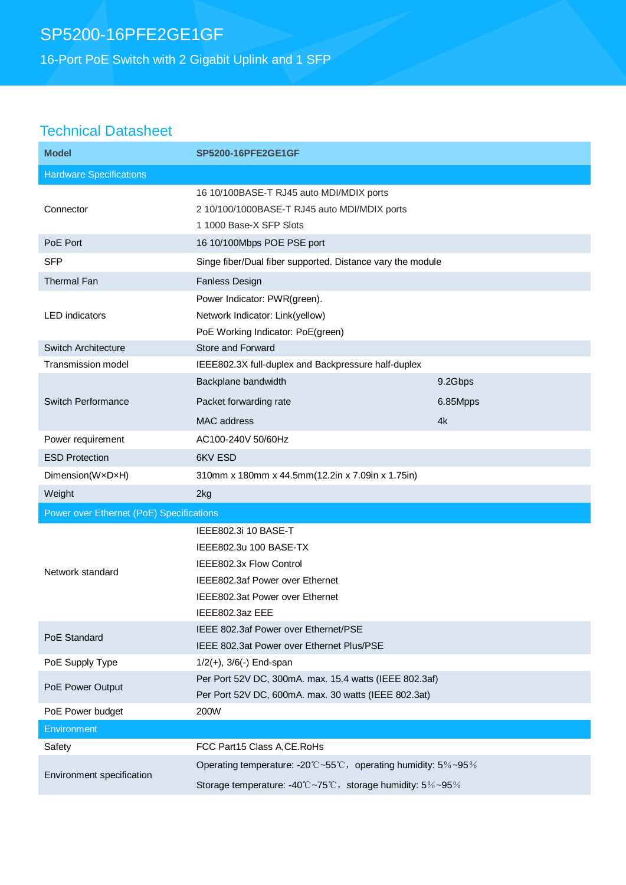16-Port PoE Switch with 2 Gigabit Uplink and 1 SFP

## Technical Datasheet

| <b>Model</b>                             | <b>SP5200-16PFE2GE1GF</b>                                                                                                                                          |          |
|------------------------------------------|--------------------------------------------------------------------------------------------------------------------------------------------------------------------|----------|
| <b>Hardware Specifications</b>           |                                                                                                                                                                    |          |
| Connector                                | 16 10/100BASE-T RJ45 auto MDI/MDIX ports<br>2 10/100/1000BASE-T RJ45 auto MDI/MDIX ports<br>1 1000 Base-X SFP Slots                                                |          |
| PoE Port                                 | 16 10/100Mbps POE PSE port                                                                                                                                         |          |
| <b>SFP</b>                               | Singe fiber/Dual fiber supported. Distance vary the module                                                                                                         |          |
| Thermal Fan                              | Fanless Design                                                                                                                                                     |          |
| <b>LED</b> indicators                    | Power Indicator: PWR(green).<br>Network Indicator: Link(yellow)<br>PoE Working Indicator: PoE(green)                                                               |          |
| Switch Architecture                      | Store and Forward                                                                                                                                                  |          |
| Transmission model                       | IEEE802.3X full-duplex and Backpressure half-duplex                                                                                                                |          |
| Switch Performance                       | Backplane bandwidth                                                                                                                                                | 9.2Gbps  |
|                                          | Packet forwarding rate                                                                                                                                             | 6.85Mpps |
|                                          | MAC address                                                                                                                                                        | 4k       |
| Power requirement                        | AC100-240V 50/60Hz                                                                                                                                                 |          |
| <b>ESD Protection</b>                    | 6KV ESD                                                                                                                                                            |          |
| Dimension(WxDxH)                         | 310mm x 180mm x 44.5mm(12.2in x 7.09in x 1.75in)                                                                                                                   |          |
| Weight                                   | 2kg                                                                                                                                                                |          |
| Power over Ethernet (PoE) Specifications |                                                                                                                                                                    |          |
| Network standard                         | IEEE802.3i 10 BASE-T<br>IEEE802.3u 100 BASE-TX<br>IEEE802.3x Flow Control<br>IEEE802.3af Power over Ethernet<br>IEEE802.3at Power over Ethernet<br>IEEE802.3az EEE |          |
| PoE Standard                             | IEEE 802.3af Power over Ethernet/PSE<br>IEEE 802.3at Power over Ethernet Plus/PSE                                                                                  |          |
| PoE Supply Type                          | $1/2(+)$ , $3/6(-)$ End-span                                                                                                                                       |          |
| PoE Power Output                         | Per Port 52V DC, 300mA. max. 15.4 watts (IEEE 802.3af)<br>Per Port 52V DC, 600mA. max. 30 watts (IEEE 802.3at)                                                     |          |
| PoE Power budget                         | 200W                                                                                                                                                               |          |
| Environment                              |                                                                                                                                                                    |          |
| Safety                                   | FCC Part15 Class A, CE. RoHs                                                                                                                                       |          |
| Environment specification                | Operating temperature: -20°C~55°C, operating humidity: 5%~95%<br>Storage temperature: -40°C~75°C, storage humidity: 5%~95%                                         |          |